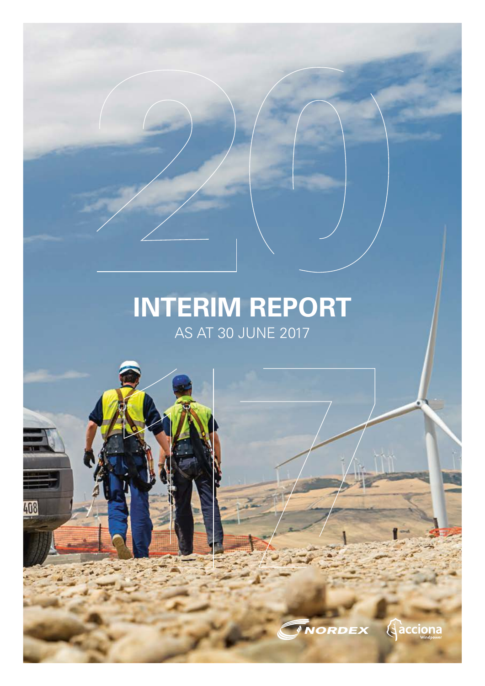## **INTERIM REPORT**  AS AT 30 JUNE 2017

408

**Aacciona**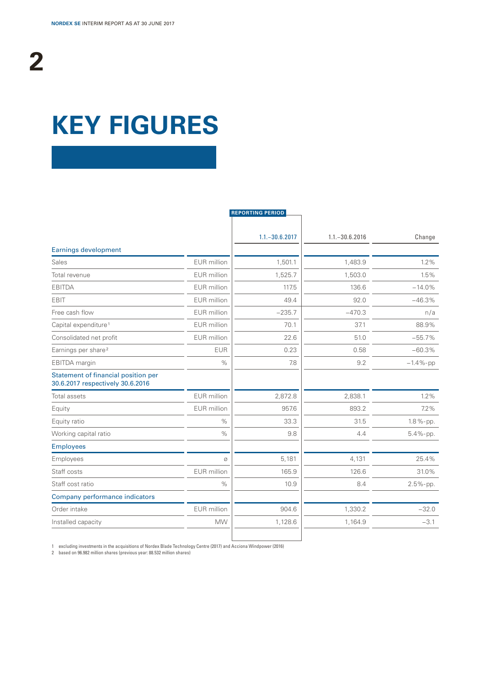# **KEY FIGURES**

|                                                                         |             | <b>REPORTING PERIOD</b> |                   |             |
|-------------------------------------------------------------------------|-------------|-------------------------|-------------------|-------------|
|                                                                         |             | $1.1 - 30.6.2017$       | $1.1 - 30.6.2016$ | Change      |
| <b>Earnings development</b>                                             |             |                         |                   |             |
| Sales                                                                   | EUR million | 1,501.1                 | 1,483.9           | 1.2%        |
| Total revenue                                                           | EUR million | 1,525.7                 | 1,503.0           | 1.5%        |
| <b>EBITDA</b>                                                           | EUR million | 117.5                   | 136.6             | $-14.0%$    |
| EBIT                                                                    | EUR million | 49.4                    | 92.0              | $-46.3%$    |
| Free cash flow                                                          | EUR million | $-235.7$                | $-470.3$          | n/a         |
| Capital expenditure <sup>1</sup>                                        | EUR million | 70.1                    | 37.1              | 88.9%       |
| Consolidated net profit                                                 | EUR million | 22.6                    | 51.0              | $-55.7%$    |
| Earnings per share <sup>2</sup>                                         | <b>EUR</b>  | 0.23                    | 0.58              | $-60.3%$    |
| EBITDA margin                                                           | $\%$        | 7.8                     | 9.2               | $-1.4%$ -pp |
| Statement of financial position per<br>30.6.2017 respectively 30.6.2016 |             |                         |                   |             |
| <b>Total assets</b>                                                     | EUR million | 2,872.8                 | 2,838.1           | 1.2%        |
| Equity                                                                  | EUR million | 957.6                   | 893.2             | 7.2%        |
| Equity ratio                                                            | $\%$        | 33.3                    | 31.5              | 1.8 %-pp.   |
| Working capital ratio                                                   | $\%$        | 9.8                     | 4.4               | $5.4%$ -pp. |
| <b>Employees</b>                                                        |             |                         |                   |             |
| Employees                                                               | Ø           | 5,181                   | 4,131             | 25.4%       |
| Staff costs                                                             | EUR million | 165.9                   | 126.6             | 31.0%       |
| Staff cost ratio                                                        | $\%$        | 10.9                    | 8.4               | $2.5%$ -pp. |
| Company performance indicators                                          |             |                         |                   |             |
| Order intake                                                            | EUR million | 904.6                   | 1,330.2           | $-32.0$     |
| Installed capacity                                                      | <b>MW</b>   | 1,128.6                 | 1,164.9           | $-3.1$      |
|                                                                         |             |                         |                   |             |

1 excluding investments in the acquisitions of Nordex Blade Technology Centre (2017) and Acciona Windpower (2016)

2 based on 96.982 million shares (previous year: 88.532 million shares)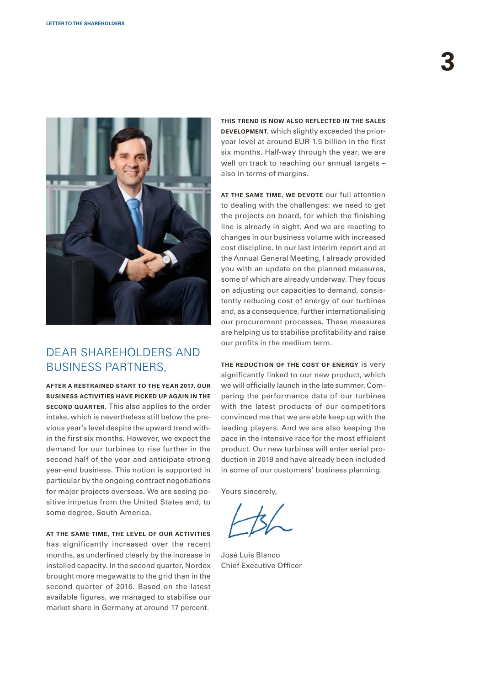

### DEAR SHAREHOLDERS AND BUSINESS PARTNERS,

**AFTER A RESTRAINED START TO THE YEAR 2017, OUR BUSINESS ACTIVITIES HAVE PICKED UP AGAIN IN THE SECOND QUARTER.** This also applies to the order intake, which is nevertheless still below the previous year's level despite the upward trend within the first six months. However, we expect the demand for our turbines to rise further in the second half of the year and anticipate strong year-end business. This notion is supported in particular by the ongoing contract negotiations for major projects overseas. We are seeing positive impetus from the United States and, to some degree, South America.

### **AT THE SAME TIME, THE LEVEL OF OUR ACTIVITIES**

has significantly increased over the recent months, as underlined clearly by the increase in installed capacity. In the second quarter, Nordex brought more megawatts to the grid than in the second quarter of 2016. Based on the latest available figures, we managed to stabilise our market share in Germany at around 17 percent.

**THIS TREND IS NOW ALSO REFLECTED IN THE SALES DEVELOPMENT,** which slightly exceeded the prioryear level at around EUR 1.5 billion in the first six months. Half-way through the year, we are well on track to reaching our annual targets – also in terms of margins.

**AT THE SAME TIME, WE DEVOTE** our full attention to dealing with the challenges: we need to get the projects on board, for which the finishing line is already in sight. And we are reacting to changes in our business volume with increased cost discipline. In our last interim report and at the Annual General Meeting, I already provided you with an update on the planned measures, some of which are already underway. They focus on adjusting our capacities to demand, consistently reducing cost of energy of our turbines and, as a consequence, further internationalising our procurement processes. These measures are helping us to stabilise profitability and raise our profits in the medium term.

**THE REDUCTION OF THE COST OF ENERGY** is very significantly linked to our new product, which we will officially launch in the late summer. Comparing the performance data of our turbines with the latest products of our competitors convinced me that we are able keep up with the leading players. And we are also keeping the pace in the intensive race for the most efficient product. Our new turbines will enter serial production in 2019 and have already been included in some of our customers' business planning.

Yours sincerely,

José Luis Blanco Chief Executive Officer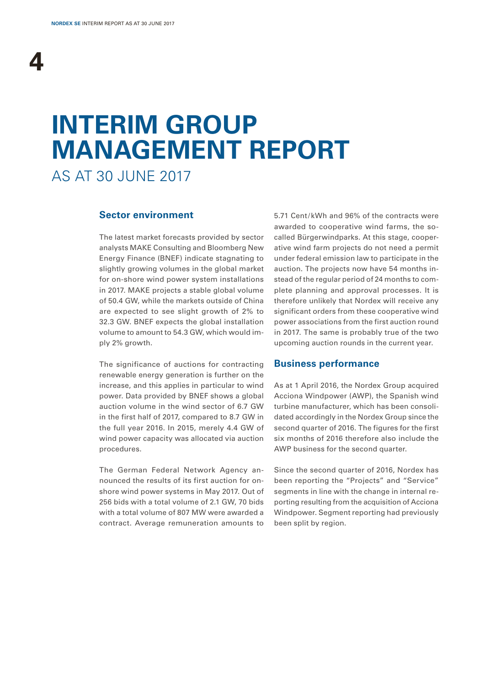# **INTERIM GROUP MANAGEMENT REPORT**

AS AT 30 JUNE 2017

### **Sector environment**

The latest market forecasts provided by sector analysts MAKE Consulting and Bloomberg New Energy Finance (BNEF) indicate stagnating to slightly growing volumes in the global market for on-shore wind power system installations in 2017. MAKE projects a stable global volume of 50.4 GW, while the markets outside of China are expected to see slight growth of 2% to 32.3 GW. BNEF expects the global installation volume to amount to 54.3 GW, which would imply 2% growth.

The significance of auctions for contracting renewable energy generation is further on the increase, and this applies in particular to wind power. Data provided by BNEF shows a global auction volume in the wind sector of 6.7 GW in the first half of 2017, compared to 8.7 GW in the full year 2016. In 2015, merely 4.4 GW of wind power capacity was allocated via auction procedures.

The German Federal Network Agency announced the results of its first auction for onshore wind power systems in May 2017. Out of 256 bids with a total volume of 2.1 GW, 70 bids with a total volume of 807 MW were awarded a contract. Average remuneration amounts to 5.71 Cent/ kWh and 96% of the contracts were awarded to cooperative wind farms, the socalled Bürgerwindparks. At this stage, cooperative wind farm projects do not need a permit under federal emission law to participate in the auction. The projects now have 54 months instead of the regular period of 24 months to complete planning and approval processes. It is therefore unlikely that Nordex will receive any significant orders from these cooperative wind power associations from the first auction round in 2017. The same is probably true of the two upcoming auction rounds in the current year.

### **Business performance**

As at 1 April 2016, the Nordex Group acquired Acciona Windpower (AWP), the Spanish wind turbine manufacturer, which has been consolidated accordingly in the Nordex Group since the second quarter of 2016. The figures for the first six months of 2016 therefore also include the AWP business for the second quarter.

Since the second quarter of 2016, Nordex has been reporting the "Projects" and "Service" segments in line with the change in internal reporting resulting from the acquisition of Acciona Windpower. Segment reporting had previously been split by region.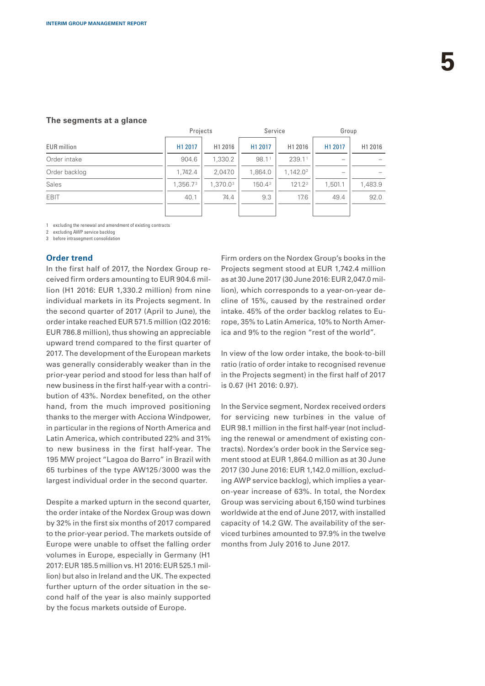|                    | Projects |          | Service            |                      | Group   |         |
|--------------------|----------|----------|--------------------|----------------------|---------|---------|
| <b>EUR</b> million | H1 2017  | H1 2016  | H1 2017            | H1 2016              | H1 2017 | H1 2016 |
| Order intake       | 904.6    | 1,330.2  | 98.1 <sup>1</sup>  | 239.11               |         |         |
| Order backlog      | 1.742.4  | 2,047.0  | 1,864.0            | 1.142.0 <sup>2</sup> |         |         |
| Sales              | 1.356.73 | 1.370.03 | 150.4 <sup>3</sup> | 121.2 <sup>3</sup>   | 1.501.1 | 1,483.9 |
| <b>EBIT</b>        | 40.1     | 74.4     | 9.3                | 17.6                 | 49.4    | 92.0    |
|                    |          |          |                    |                      |         |         |

### **The segments at a glance**

1 excluding the renewal and amendment of existing contracts

excluding AWP service backloo

3 before intrasegment consolidation

### **Order trend**

In the first half of 2017, the Nordex Group received firm orders amounting to EUR 904.6 million (H1 2016: EUR 1,330.2 million) from nine individual markets in its Projects segment. In the second quarter of 2017 (April to June), the order intake reached EUR 571.5 million (Q2 2016: EUR 786.8 million), thus showing an appreciable upward trend compared to the first quarter of 2017. The development of the European markets was generally considerably weaker than in the prior-year period and stood for less than half of new business in the first half-year with a contribution of 43%. Nordex benefited, on the other hand, from the much improved positioning thanks to the merger with Acciona Windpower, in particular in the regions of North America and Latin America, which contributed 22% and 31% to new business in the first half-year. The 195 MW project "Lagoa do Barro" in Brazil with 65 turbines of the type AW125/3000 was the largest individual order in the second quarter.

Despite a marked upturn in the second quarter, the order intake of the Nordex Group was down by 32% in the first six months of 2017 compared to the prior-year period. The markets outside of Europe were unable to offset the falling order volumes in Europe, especially in Germany (H1 2017: EUR 185.5 million vs. H1 2016: EUR 525.1 million) but also in Ireland and the UK. The expected further upturn of the order situation in the second half of the year is also mainly supported by the focus markets outside of Europe.

Firm orders on the Nordex Group's books in the Projects segment stood at EUR 1,742.4 million as at 30 June 2017 (30 June 2016: EUR 2,047.0 million), which corresponds to a year-on-year decline of 15%, caused by the restrained order intake. 45% of the order backlog relates to Europe, 35% to Latin America, 10% to North America and 9% to the region "rest of the world".

In view of the low order intake, the book-to-bill ratio (ratio of order intake to recognised revenue in the Projects segment) in the first half of 2017 is 0.67 (H1 2016: 0.97).

In the Service segment, Nordex received orders for servicing new turbines in the value of EUR 98.1 million in the first half-year (not including the renewal or amendment of existing contracts). Nordex's order book in the Service segment stood at EUR 1,864.0 million as at 30 June 2017 (30 June 2016: EUR 1,142.0 million, excluding AWP service backlog), which implies a yearon-year increase of 63%. In total, the Nordex Group was servicing about 6,150 wind turbines worldwide at the end of June 2017, with installed capacity of 14.2 GW. The availability of the serviced turbines amounted to 97.9% in the twelve months from July 2016 to June 2017.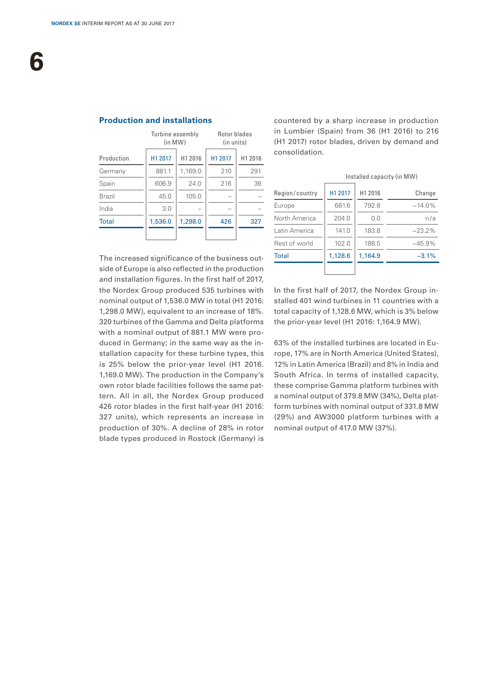|               | Turbine assembly<br>(in MW) |         | Rotor blades<br>(in units) |         |
|---------------|-----------------------------|---------|----------------------------|---------|
| Production    | H1 2017                     | H1 2016 | H1 2017                    | H1 2016 |
| Germany       | 881.1                       | 1,169.0 | 210                        | 291     |
| Spain         | 606.9                       | 24.0    | 216                        | 36      |
| <b>Brazil</b> | 45.0                        | 105.0   |                            |         |
| India         | 3.0                         |         |                            |         |
| <b>Total</b>  | 1,536.0                     | 1,298.0 | 426                        | 327     |
|               |                             |         |                            |         |

**Production and installations**

countered by a sharp increase in production in Lumbier (Spain) from 36 (H1 2016) to 216 (H1 2017) rotor blades, driven by demand and consolidation.

|                |         |         | Installed capacity (in MW) |
|----------------|---------|---------|----------------------------|
| Region/country | H1 2017 | H1 2016 | Change                     |
| Europe         | 681.6   | 792.8   | $-14.0%$                   |
| North America  | 204.0   | 0.0     | n/a                        |
| Latin America  | 141.0   | 183.8   | $-23.2\%$                  |
| Rest of world  | 102.0   | 188.5   | $-45.9%$                   |
| <b>Total</b>   | 1.128.6 | 1.164.9 | $-3.1%$                    |
|                |         |         |                            |

The increased significance of the business outside of Europe is also reflected in the production and installation figures. In the first half of 2017, the Nordex Group produced 535 turbines with nominal output of 1,536.0 MW in total (H1 2016: 1,298.0 MW), equivalent to an increase of 18%. 320 turbines of the Gamma and Delta platforms with a nominal output of 881.1 MW were produced in Germany; in the same way as the installation capacity for these turbine types, this is 25% below the prior-year level (H1 2016. 1,169.0 MW). The production in the Company's own rotor blade facilities follows the same pattern. All in all, the Nordex Group produced 426 rotor blades in the first half-year (H1 2016: 327 units), which represents an increase in production of 30%. A decline of 28% in rotor blade types produced in Rostock (Germany) is

In the first half of 2017, the Nordex Group installed 401 wind turbines in 11 countries with a total capacity of 1,128.6 MW, which is 3% below the prior-year level (H1 2016: 1,164.9 MW).

63% of the installed turbines are located in Europe, 17% are in North America (United States), 12% in Latin America (Brazil) and 8% in India and South Africa. In terms of installed capacity, these comprise Gamma platform turbines with a nominal output of 379.8 MW (34%), Delta platform turbines with nominal output of 331.8 MW (29%) and AW3000 platform turbines with a nominal output of 417.0 MW (37%).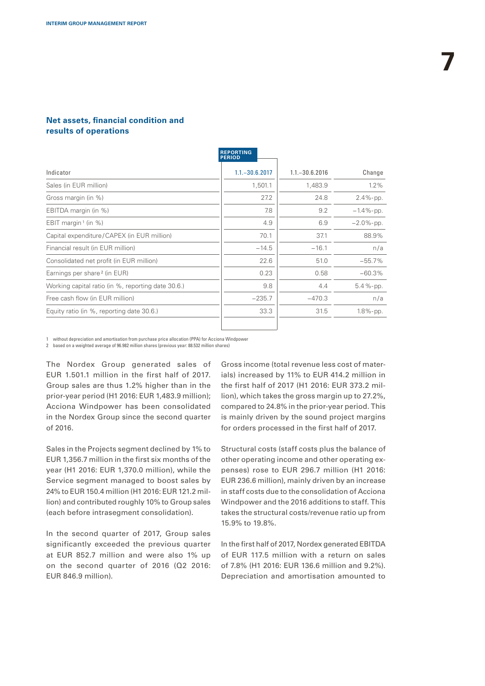### **Net assets, financial condition and results of operations**

|                                                    | <b>REPORTING</b><br><b>PERIOD</b> |                   |               |
|----------------------------------------------------|-----------------------------------|-------------------|---------------|
| Indicator                                          | $1.1 - 30.6.2017$                 | $1.1 - 30.6.2016$ | Change        |
| Sales (in EUR million)                             | 1,501.1                           | 1,483.9           | 1.2%          |
| Gross margin (in %)                                | 27.2                              | 24.8              | $2.4%$ -pp.   |
| EBITDA margin (in %)                               | 7.8                               | 9.2               | $-1.4\%$ -pp. |
| EBIT margin <sup>1</sup> (in %)                    | 4.9                               | 6.9               | $-2.0\%$ -pp. |
| Capital expenditure/CAPEX (in EUR million)         | 70.1                              | 37.1              | 88.9%         |
| Financial result (in EUR million)                  | $-14.5$                           | $-16.1$           | n/a           |
| Consolidated net profit (in EUR million)           | 22.6                              | 51.0              | $-55.7%$      |
| Earnings per share <sup>2</sup> (in EUR)           | 0.23                              | 0.58              | $-60.3%$      |
| Working capital ratio (in %, reporting date 30.6.) | 9.8                               | 4.4               | $5.4%$ -pp.   |
| Free cash flow (in EUR million)                    | $-235.7$                          | $-470.3$          | n/a           |
| Equity ratio (in %, reporting date 30.6.)          | 33.3                              | 31.5              | 1.8%-pp.      |

1 without depreciation and amortisation from purchase price allocation (PPA) for Acciona Windpower

2 based on a weighted average of 96.982 million shares (previous year: 88.532 million shares)

The Nordex Group generated sales of EUR 1.501.1 million in the first half of 2017. Group sales are thus 1.2% higher than in the prior-year period (H1 2016: EUR 1,483.9 million); Acciona Windpower has been consolidated in the Nordex Group since the second quarter of 2016.

Sales in the Projects segment declined by 1% to EUR 1,356.7 million in the first six months of the year (H1 2016: EUR 1,370.0 million), while the Service segment managed to boost sales by 24% to EUR 150.4 million (H1 2016: EUR 121.2 million) and contributed roughly 10% to Group sales (each before intrasegment consolidation).

In the second quarter of 2017, Group sales significantly exceeded the previous quarter at EUR 852.7 million and were also 1% up on the second quarter of 2016 (Q2 2016: EUR 846.9 million).

Gross income (total revenue less cost of materials) increased by 11% to EUR 414.2 million in the first half of 2017 (H1 2016: EUR 373.2 million), which takes the gross margin up to 27.2%, compared to 24.8% in the prior-year period. This is mainly driven by the sound project margins for orders processed in the first half of 2017.

Structural costs (staff costs plus the balance of other operating income and other operating expenses) rose to EUR 296.7 million (H1 2016: EUR 236.6 million), mainly driven by an increase in staff costs due to the consolidation of Acciona Windpower and the 2016 additions to staff. This takes the structural costs/revenue ratio up from 15.9% to 19.8%.

In the first half of 2017, Nordex generated EBITDA of EUR 117.5 million with a return on sales of 7.8% (H1 2016: EUR 136.6 million and 9.2%). Depreciation and amortisation amounted to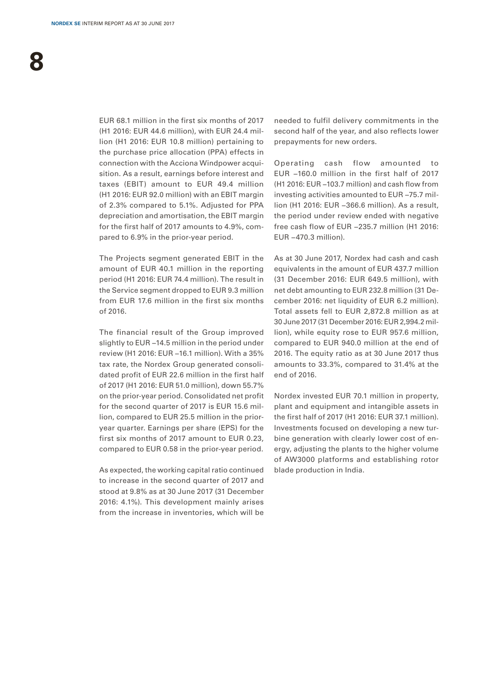EUR 68.1 million in the first six months of 2017 (H1 2016: EUR 44.6 million), with EUR 24.4 million (H1 2016: EUR 10.8 million) pertaining to the purchase price allocation (PPA) effects in connection with the Acciona Windpower acquisition. As a result, earnings before interest and taxes (EBIT) amount to EUR 49.4 million (H1 2016: EUR 92.0 million) with an EBIT margin of 2.3% compared to 5.1%. Adjusted for PPA depreciation and amortisation, the EBIT margin for the first half of 2017 amounts to 4.9%, compared to 6.9% in the prior-year period.

The Projects segment generated EBIT in the amount of EUR 40.1 million in the reporting period (H1 2016: EUR 74.4 million). The result in the Service segment dropped to EUR 9.3 million from EUR 17.6 million in the first six months of 2016.

The financial result of the Group improved slightly to EUR −14.5 million in the period under review (H1 2016: EUR −16.1 million). With a 35% tax rate, the Nordex Group generated consolidated profit of EUR 22.6 million in the first half of 2017 (H1 2016: EUR 51.0 million), down 55.7% on the prior-year period. Consolidated net profit for the second quarter of 2017 is EUR 15.6 million, compared to EUR 25.5 million in the prioryear quarter. Earnings per share (EPS) for the first six months of 2017 amount to EUR 0.23, compared to EUR 0.58 in the prior-year period.

As expected, the working capital ratio continued to increase in the second quarter of 2017 and stood at 9.8% as at 30 June 2017 (31 December 2016: 4.1%). This development mainly arises from the increase in inventories, which will be needed to fulfil delivery commitments in the second half of the year, and also reflects lower prepayments for new orders.

Operating cash flow amounted to EUR -160.0 million in the first half of 2017 (H1 2016: EUR −103.7 million) and cash flow from investing activities amounted to EUR −75.7 million (H1 2016: EUR −366.6 million). As a result, the period under review ended with negative free cash flow of EUR −235.7 million (H1 2016: EUR −470.3 million).

As at 30 June 2017, Nordex had cash and cash equivalents in the amount of EUR 437.7 million (31 December 2016: EUR 649.5 million), with net debt amounting to EUR 232.8 million (31 December 2016: net liquidity of EUR 6.2 million). Total assets fell to EUR 2,872.8 million as at 30 June 2017 (31 December 2016: EUR 2,994.2 million), while equity rose to EUR 957.6 million, compared to EUR 940.0 million at the end of 2016. The equity ratio as at 30 June 2017 thus amounts to 33.3%, compared to 31.4% at the end of 2016.

Nordex invested EUR 70.1 million in property, plant and equipment and intangible assets in the first half of 2017 (H1 2016: EUR 37.1 million). Investments focused on developing a new turbine generation with clearly lower cost of energy, adjusting the plants to the higher volume of AW3000 platforms and establishing rotor blade production in India.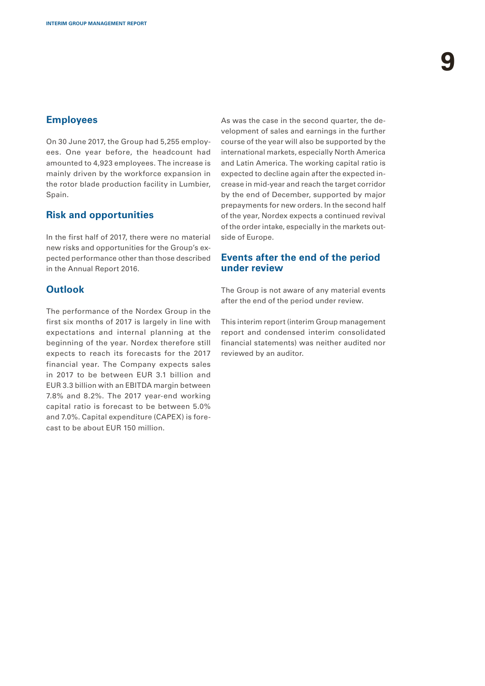### **Employees**

On 30 June 2017, the Group had 5,255 employees. One year before, the headcount had amounted to 4,923 employees. The increase is mainly driven by the workforce expansion in the rotor blade production facility in Lumbier, Spain.

### **Risk and opportunities**

In the first half of 2017, there were no material new risks and opportunities for the Group's expected performance other than those described in the Annual Report 2016.

### **Outlook**

The performance of the Nordex Group in the first six months of 2017 is largely in line with expectations and internal planning at the beginning of the year. Nordex therefore still expects to reach its forecasts for the 2017 financial year. The Company expects sales in 2017 to be between EUR 3.1 billion and EUR 3.3 billion with an EBITDA margin between 7.8% and 8.2%. The 2017 year-end working capital ratio is forecast to be between 5.0% and 7.0%. Capital expenditure (CAPEX) is forecast to be about EUR 150 million.

As was the case in the second quarter, the development of sales and earnings in the further course of the year will also be supported by the international markets, especially North America and Latin America. The working capital ratio is expected to decline again after the expected increase in mid-year and reach the target corridor by the end of December, supported by major prepayments for new orders. In the second half of the year, Nordex expects a continued revival of the order intake, especially in the markets outside of Europe.

### **Events after the end of the period under review**

The Group is not aware of any material events after the end of the period under review.

This interim report (interim Group management report and condensed interim consolidated financial statements) was neither audited nor reviewed by an auditor.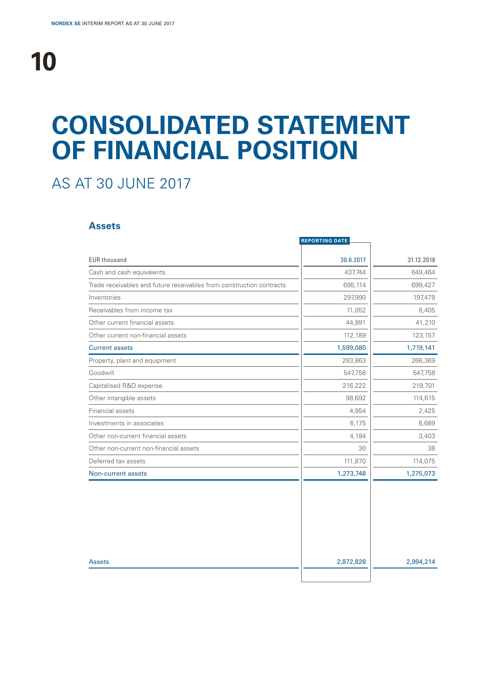## **CONSOLIDATED STATEMENT OF FINANCIAL POSITION**

## AS AT 30 JUNE 2017

### **Assets**

|                                                                      | <b>REPORTING DATE</b> |            |
|----------------------------------------------------------------------|-----------------------|------------|
| <b>EUR thousand</b>                                                  | 30.6.2017             | 31.12.2016 |
| Cash and cash equivalents                                            | 437,744               | 649,464    |
| Trade receivables and future receivables from construction contracts | 695,114               | 699,427    |
| Inventories                                                          | 297,990               | 197,478    |
| Receivables from income tax                                          | 11,052                | 8,405      |
| Other current financial assets                                       | 44,991                | 41,210     |
| Other current non-financial assets                                   | 112,189               | 123,157    |
| <b>Current assets</b>                                                | 1,599,080             | 1,719,141  |
| Property, plant and equipment                                        | 283,863               | 266,369    |
| Goodwill                                                             | 547,758               | 547,758    |
| Capitalised R&D expense                                              | 216,222               | 219,701    |
| Other intangible assets                                              | 98,692                | 114,615    |
| Financial assets                                                     | 4,954                 | 2,425      |
| Investments in associates                                            | 6,175                 | 6,689      |
| Other non-current financial assets                                   | 4,184                 | 3,403      |
| Other non-current non-financial assets                               | 30                    | 38         |
| Deferred tax assets                                                  | 111,870               | 114,075    |
| Non-current assets                                                   | 1,273,748             | 1,275,073  |
|                                                                      |                       |            |
| <b>Assets</b>                                                        | 2,872,828             | 2,994,214  |
|                                                                      |                       |            |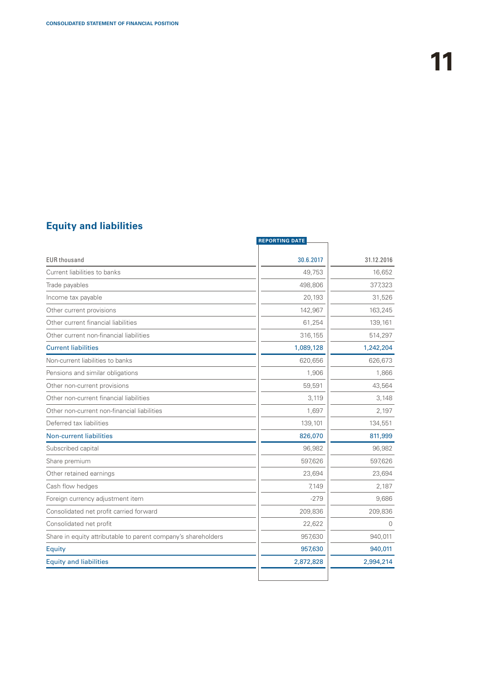### **Equity and liabilities**

| <b>REPORTING DATE</b> |            |
|-----------------------|------------|
| 30.6.2017             | 31.12.2016 |
| 49,753                | 16,652     |
| 498.806               | 377,323    |
| 20,193                | 31,526     |
| 142,967               | 163,245    |
| 61,254                | 139,161    |
| 316,155               | 514,297    |
| 1,089,128             | 1,242,204  |
| 620,656               | 626,673    |
| 1,906                 | 1,866      |
| 59,591                | 43,564     |
| 3,119                 | 3,148      |
| 1,697                 | 2,197      |
| 139,101               | 134,551    |
| 826,070               | 811,999    |
| 96,982                | 96,982     |
| 597,626               | 597,626    |
| 23,694                | 23,694     |
| 7,149                 | 2,187      |
| $-279$                | 9,686      |
| 209,836               | 209,836    |
| 22,622                | $\Omega$   |
| 957,630               | 940,011    |
| 957,630               | 940,011    |
| 2,872,828             | 2,994,214  |
|                       |            |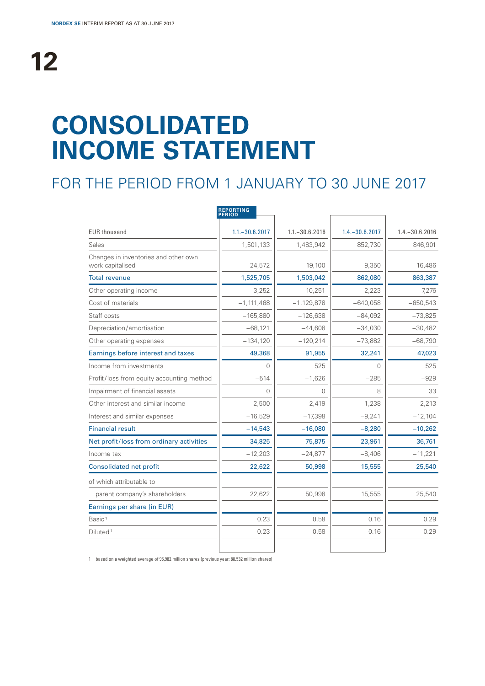# **CONSOLIDATED INCOME STATEMENT**

## FOR THE PERIOD FROM 1 JANUARY TO 30 JUNE 2017

|                                                          | <b>REPORTING</b><br><b>PERIOD</b> |                   |                   |                   |
|----------------------------------------------------------|-----------------------------------|-------------------|-------------------|-------------------|
| <b>EUR thousand</b>                                      | $1.1 - 30.6.2017$                 | $1.1 - 30.6.2016$ | $1.4 - 30.6.2017$ | $1.4 - 30.6.2016$ |
| Sales                                                    | 1,501,133                         | 1,483,942         | 852,730           | 846,901           |
| Changes in inventories and other own<br>work capitalised | 24,572                            | 19,100            | 9,350             | 16,486            |
| <b>Total revenue</b>                                     | 1,525,705                         | 1,503,042         | 862,080           | 863,387           |
| Other operating income                                   | 3,252                             | 10,251            | 2,223             | 7,276             |
| Cost of materials                                        | $-1,111,468$                      | $-1,129,878$      | $-640,058$        | $-650,543$        |
| Staff costs                                              | $-165,880$                        | $-126,638$        | $-84,092$         | $-73,825$         |
| Depreciation/amortisation                                | $-68,121$                         | $-44,608$         | $-34,030$         | $-30,482$         |
| Other operating expenses                                 | $-134,120$                        | $-120,214$        | $-73,882$         | $-68,790$         |
| Earnings before interest and taxes                       | 49,368                            | 91,955            | 32,241            | 47,023            |
| Income from investments                                  | $\Omega$                          | 525               | 0                 | 525               |
| Profit/loss from equity accounting method                | $-514$                            | $-1,626$          | $-285$            | $-929$            |
| Impairment of financial assets                           | $\Omega$                          | 0                 | 8                 | 33                |
| Other interest and similar income                        | 2,500                             | 2,419             | 1,238             | 2,213             |
| Interest and similar expenses                            | $-16,529$                         | $-17,398$         | $-9,241$          | $-12,104$         |
| <b>Financial result</b>                                  | $-14,543$                         | $-16,080$         | $-8,280$          | $-10,262$         |
| Net profit/loss from ordinary activities                 | 34,825                            | 75,875            | 23,961            | 36,761            |
| Income tax                                               | $-12,203$                         | $-24,877$         | $-8,406$          | $-11,221$         |
| <b>Consolidated net profit</b>                           | 22,622                            | 50,998            | 15,555            | 25,540            |
| of which attributable to                                 |                                   |                   |                   |                   |
| parent company's shareholders                            | 22,622                            | 50,998            | 15,555            | 25,540            |
| Earnings per share (in EUR)                              |                                   |                   |                   |                   |
| Basic <sup>1</sup>                                       | 0.23                              | 0.58              | 0.16              | 0.29              |
| Diluted <sup>1</sup>                                     | 0.23                              | 0.58              | 0.16              | 0.29              |
|                                                          |                                   |                   |                   |                   |

1 based on a weighted average of 96,982 million shares (previous year: 88.532 million shares)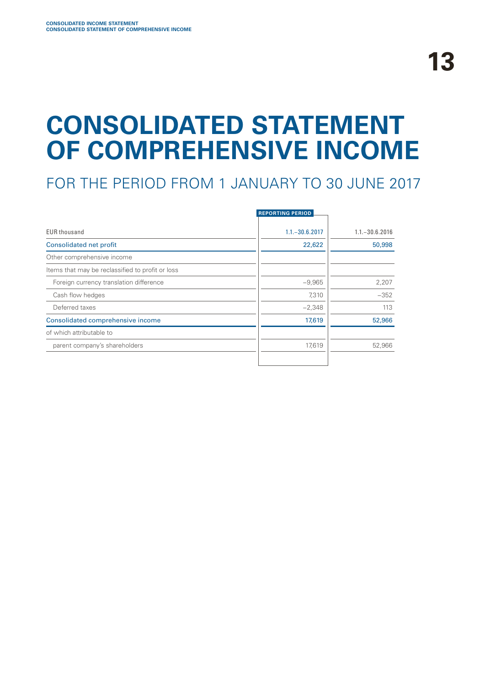# **CONSOLIDATED STATEMENT OF COMPREHENSIVE INCOME**

## FOR THE PERIOD FROM 1 JANUARY TO 30 JUNE 2017

|                                                  | <b>REPORTING PERIOD</b> |                   |
|--------------------------------------------------|-------------------------|-------------------|
| <b>EUR thousand</b>                              | $1.1 - 30.6.2017$       | $1.1 - 30.6.2016$ |
| <b>Consolidated net profit</b>                   | 22,622                  | 50,998            |
| Other comprehensive income                       |                         |                   |
| Items that may be reclassified to profit or loss |                         |                   |
| Foreign currency translation difference          | $-9,965$                | 2,207             |
| Cash flow hedges                                 | 7,310                   | $-352$            |
| Deferred taxes                                   | $-2,348$                | 113               |
| Consolidated comprehensive income                | 17,619                  | 52,966            |
| of which attributable to                         |                         |                   |
| parent company's shareholders                    | 17,619                  | 52,966            |
|                                                  |                         |                   |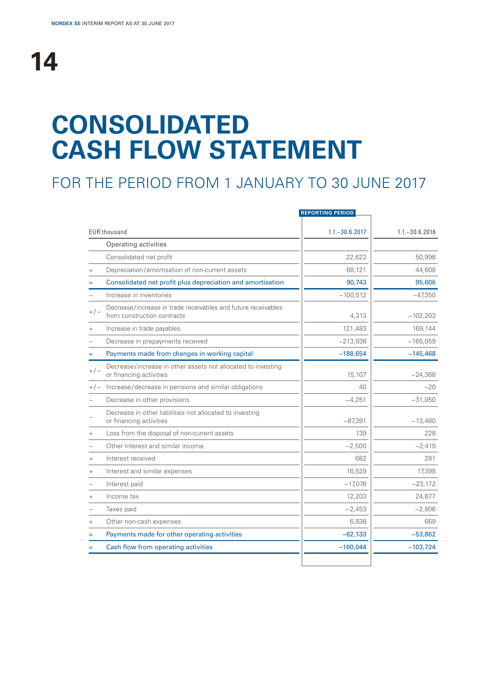# **14**

# **CONSOLIDATED CASH FLOW STATEMENT**

## FOR THE PERIOD FROM 1 JANUARY TO 30 JUNE 2017

|        |                                                                                              | <b>REPORTING PERIOD</b> |                   |
|--------|----------------------------------------------------------------------------------------------|-------------------------|-------------------|
|        | <b>EUR thousand</b>                                                                          | $1.1 - 30.6.2017$       | $1.1 - 30.6.2016$ |
|        | Operating activities                                                                         |                         |                   |
|        | Consolidated net profit                                                                      | 22,622                  | 50,998            |
| $^{+}$ | Depreciation/amortisation of non-current assets                                              | 68,121                  | 44,608            |
| $=$    | Consolidated net profit plus depreciation and amortisation                                   | 90,743                  | 95,606            |
|        | Increase in inventories                                                                      | $-100,512$              | $-47,350$         |
| $+/-$  | Decrease/increase in trade receivables and future receivables<br>from construction contracts | 4,313                   | $-102,203$        |
| $^{+}$ | Increase in trade payables                                                                   | 121,483                 | 169,144           |
|        | Decrease in prepayments received                                                             | $-213,938$              | $-165,059$        |
| $=$    | Payments made from changes in working capital                                                | $-188,654$              | $-145,468$        |
| $+/-$  | Decrease/increase in other assets not allocated to investing<br>or financing activities      | 15,107                  | $-24,368$         |
|        | +/- Increase/decrease in pensions and similar obligations                                    | 40                      | $-20$             |
|        | Decrease in other provisions                                                                 | $-4,251$                | $-31,050$         |
|        | Decrease in other liabilities not allocated to investing<br>or financing activities          | $-87,391$               | $-13,480$         |
| $^{+}$ | Loss from the disposal of non-current assets                                                 | 139                     | 228               |
|        | Other interest and similar income                                                            | $-2,500$                | $-2,419$          |
| $^{+}$ | Interest received                                                                            | 682                     | 281               |
| $^{+}$ | Interest and similar expenses                                                                | 16,529                  | 17.398            |
|        | Interest paid                                                                                | $-17,076$               | $-23,172$         |
| $^{+}$ | Income tax                                                                                   | 12,203                  | 24,877            |
|        | Taxes paid                                                                                   | $-2,453$                | $-2,806$          |
| $^{+}$ | Other non-cash expenses                                                                      | 6,838                   | 669               |
| Ξ      | Payments made for other operating activities                                                 | $-62,133$               | $-53,862$         |
|        | Cash flow from operating activities                                                          | $-160,044$              | $-103,724$        |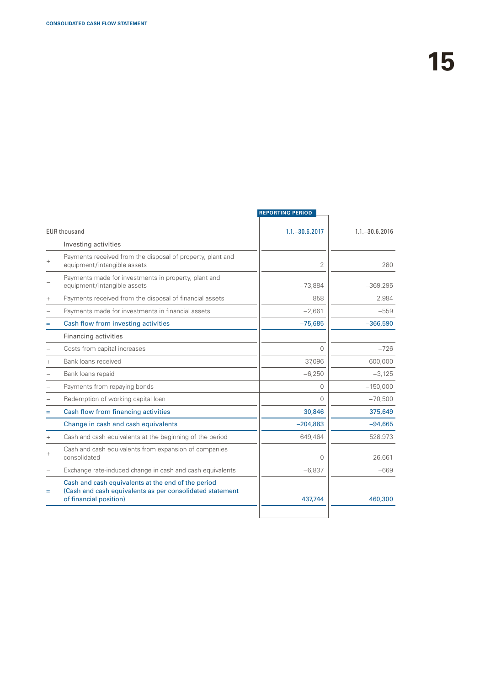|        |                                                                                                                                          | <b>REPORTING PERIOD</b> |                   |
|--------|------------------------------------------------------------------------------------------------------------------------------------------|-------------------------|-------------------|
|        | <b>EUR thousand</b>                                                                                                                      | $1.1 - 30.6.2017$       | $1.1 - 30.6.2016$ |
|        | Investing activities                                                                                                                     |                         |                   |
|        | Payments received from the disposal of property, plant and<br>equipment/intangible assets                                                | $\overline{2}$          | 280               |
|        | Payments made for investments in property, plant and<br>equipment/intangible assets                                                      | $-73,884$               | $-369,295$        |
| $^{+}$ | Payments received from the disposal of financial assets                                                                                  | 858                     | 2,984             |
|        | Payments made for investments in financial assets                                                                                        | $-2,661$                | $-559$            |
| Ξ      | Cash flow from investing activities                                                                                                      | $-75,685$               | $-366,590$        |
|        | Financing activities                                                                                                                     |                         |                   |
|        | Costs from capital increases                                                                                                             | $\Omega$                | $-726$            |
|        | Bank loans received                                                                                                                      | 37,096                  | 600,000           |
|        | Bank loans repaid                                                                                                                        | $-6,250$                | $-3,125$          |
|        | Payments from repaying bonds                                                                                                             | $\Omega$                | $-150,000$        |
|        | Redemption of working capital loan                                                                                                       | $\Omega$                | $-70,500$         |
| Ξ      | Cash flow from financing activities                                                                                                      | 30,846                  | 375,649           |
|        | Change in cash and cash equivalents                                                                                                      | $-204,883$              | $-94,665$         |
| $^{+}$ | Cash and cash equivalents at the beginning of the period                                                                                 | 649,464                 | 528,973           |
| $^{+}$ | Cash and cash equivalents from expansion of companies<br>consolidated                                                                    | $\Omega$                | 26,661            |
|        | Exchange rate-induced change in cash and cash equivalents                                                                                | $-6,837$                | -669              |
| Ξ      | Cash and cash equivalents at the end of the period<br>(Cash and cash equivalents as per consolidated statement<br>of financial position) | 437.744                 | 460,300           |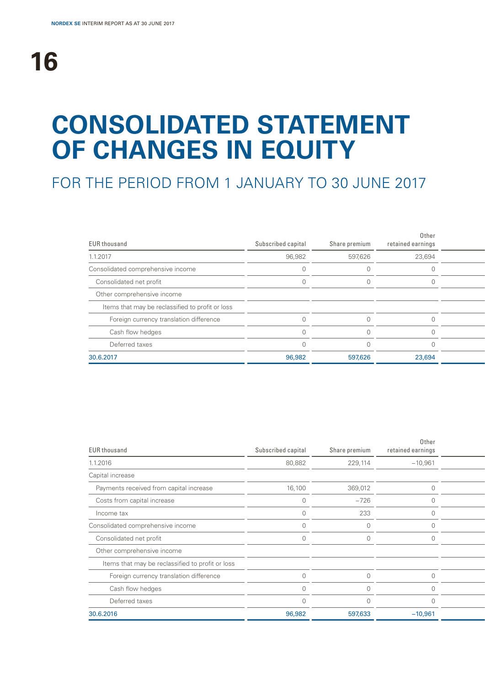# **CONSOLIDATED STATEMENT OF CHANGES IN EQUITY**

## FOR THE PERIOD FROM 1 JANUARY TO 30 JUNE 2017

| <b>EUR thousand</b>                              | Subscribed capital | Share premium | Other<br>retained earnings |  |
|--------------------------------------------------|--------------------|---------------|----------------------------|--|
| 1.1.2017                                         | 96,982             | 597,626       | 23,694                     |  |
| Consolidated comprehensive income                |                    |               |                            |  |
| Consolidated net profit                          |                    |               |                            |  |
| Other comprehensive income                       |                    |               |                            |  |
| Items that may be reclassified to profit or loss |                    |               |                            |  |
| Foreign currency translation difference          |                    |               |                            |  |
| Cash flow hedges                                 |                    |               |                            |  |
| Deferred taxes                                   |                    |               |                            |  |
| 30.6.2017                                        | 96,982             | 597,626       | 23,694                     |  |

| Subscribed capital | Share premium | Other<br>retained earnings |  |
|--------------------|---------------|----------------------------|--|
| 80,882             | 229,114       | $-10,961$                  |  |
|                    |               |                            |  |
| 16,100             | 369,012       | $\Omega$                   |  |
|                    | $-726$        |                            |  |
|                    | 233           |                            |  |
|                    | $\bigcap$     |                            |  |
|                    | $\cap$        |                            |  |
|                    |               |                            |  |
|                    |               |                            |  |
|                    | $\Omega$      | $\Omega$                   |  |
|                    |               |                            |  |
|                    | $\Omega$      |                            |  |
| 96,982             | 597,633       | $-10,961$                  |  |
|                    |               |                            |  |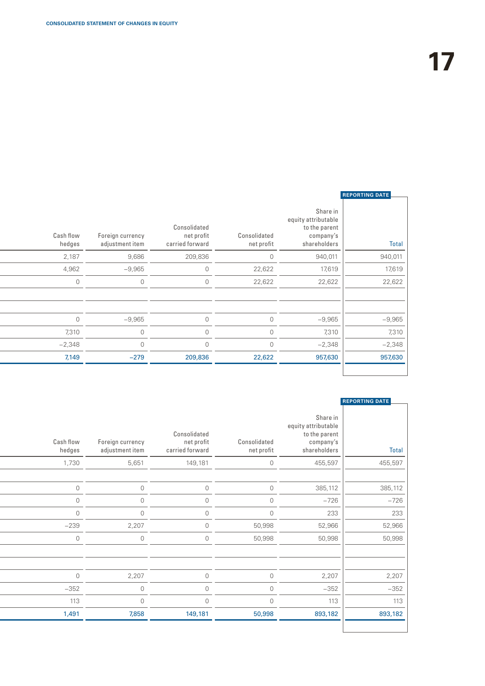| <b>REPORTING DATE</b> |                                                                               |                            |                                               |                                     |                     |
|-----------------------|-------------------------------------------------------------------------------|----------------------------|-----------------------------------------------|-------------------------------------|---------------------|
| Total                 | Share in<br>equity attributable<br>to the parent<br>company's<br>shareholders | Consolidated<br>net profit | Consolidated<br>net profit<br>carried forward | Foreign currency<br>adjustment item | Cash flow<br>hedges |
| 940,011               | 940,011                                                                       | $\Omega$                   | 209,836                                       | 9,686                               | 2,187               |
| 17,619                | 17,619                                                                        | 22,622                     | $\mathbf{0}$                                  | $-9,965$                            | 4,962               |
| 22,622                | 22,622                                                                        | 22,622                     | 0                                             | $\circ$                             | $\Omega$            |
|                       |                                                                               |                            |                                               |                                     |                     |
|                       |                                                                               |                            |                                               |                                     |                     |
| $-9,965$              | $-9,965$                                                                      | $\Omega$                   | $\cap$                                        | $-9,965$                            | $\circ$             |
| 7,310                 | 7,310                                                                         | $\bigcap$                  | $\cap$                                        | $\overline{0}$                      | 7,310               |
| $-2,348$              | $-2,348$                                                                      | $\Omega$                   |                                               | $\circ$                             | $-2,348$            |
| 957,630               | 957,630                                                                       | 22,622                     | 209,836                                       | $-279$                              | 7,149               |
|                       |                                                                               |                            |                                               |                                     |                     |

### **REPORTING DATE**

 $\overline{\phantom{0}}$ 

L

| <b>Total</b> | Share in<br>equity attributable<br>to the parent<br>company's<br>shareholders | Consolidated<br>net profit | Consolidated<br>net profit<br>carried forward | Foreign currency<br>adjustment item | Cash flow<br>hedges |
|--------------|-------------------------------------------------------------------------------|----------------------------|-----------------------------------------------|-------------------------------------|---------------------|
| 455,597      | 455,597                                                                       | $\circ$                    | 149,181                                       | 5,651                               | 1,730               |
|              |                                                                               |                            |                                               |                                     |                     |
| 385,112      | 385,112                                                                       | $\overline{0}$             | $\overline{0}$                                | $\overline{0}$                      | $\circ$             |
| $-726$       | $-726$                                                                        | $\circ$                    | $\overline{0}$                                | $\overline{0}$                      | $\circ$             |
| 233          | 233                                                                           | $\overline{0}$             | $\circ$                                       | $\Omega$                            | $\Omega$            |
| 52,966       | 52,966                                                                        | 50,998                     | $\overline{O}$                                | 2,207                               | $-239$              |
| 50,998       | 50,998                                                                        | 50,998                     | $\circ$                                       | $\overline{0}$                      | $\overline{0}$      |
|              |                                                                               |                            |                                               |                                     |                     |
| 2,207        | 2,207                                                                         | $\circ$                    | 0                                             | 2,207                               | $\circ$             |
| $-352$       | $-352$                                                                        | $\circ$                    | $\circ$                                       | $\circ$                             | $-352$              |
| 113          | 113                                                                           | $\circ$                    | $\overline{0}$                                | $\Omega$                            | 113                 |
| 893,182      | 893,182                                                                       | 50,998                     | 149,181                                       | 7,858                               | 1,491               |
|              |                                                                               |                            |                                               |                                     |                     |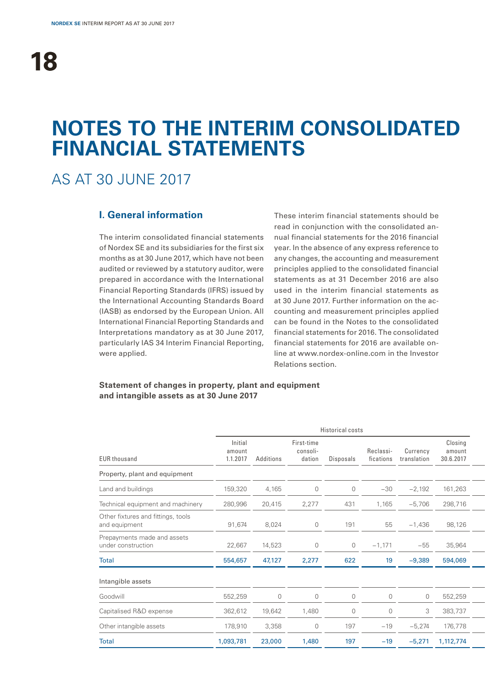## **NOTES TO THE INTERIM CONSOLIDATED FINANCIAL STATEMENTS**

## AS AT 30 JUNE 2017

### **I. General information**

The interim consolidated financial statements of Nordex SE and its subsidiaries for the first six months as at 30 June 2017, which have not been audited or reviewed by a statutory auditor, were prepared in accordance with the International Financial Reporting Standards (IFRS) issued by the International Accounting Standards Board (IASB) as endorsed by the European Union. All International Financial Reporting Standards and Interpretations mandatory as at 30 June 2017, particularly IAS 34 Interim Financial Reporting, were applied.

These interim financial statements should be read in conjunction with the consolidated annual financial statements for the 2016 financial year. In the absence of any express reference to any changes, the accounting and measurement principles applied to the consolidated financial statements as at 31 December 2016 are also used in the interim financial statements as at 30 June 2017. Further information on the accounting and measurement principles applied can be found in the Notes to the consolidated financial statements for 2016. The consolidated financial statements for 2016 are available online at www.nordex-online.com in the Investor Relations section.

### **Statement of changes in property, plant and equipment and intangible assets as at 30 June 2017**

|                                                     |                               |                |                                  | Historical costs |                        |                         |                                |
|-----------------------------------------------------|-------------------------------|----------------|----------------------------------|------------------|------------------------|-------------------------|--------------------------------|
| <b>EUR thousand</b>                                 | Initial<br>amount<br>1.1.2017 | Additions      | First-time<br>consoli-<br>dation | Disposals        | Reclassi-<br>fications | Currency<br>translation | Closing<br>amount<br>30.6.2017 |
| Property, plant and equipment                       |                               |                |                                  |                  |                        |                         |                                |
| Land and buildings                                  | 159,320                       | 4,165          | $\circ$                          | $\mathbf 0$      | $-30$                  | $-2,192$                | 161,263                        |
| Technical equipment and machinery                   | 280,996                       | 20,415         | 2,277                            | 431              | 1,165                  | $-5,706$                | 298,716                        |
| Other fixtures and fittings, tools<br>and equipment | 91,674                        | 8,024          | $\overline{0}$                   | 191              | 55                     | $-1,436$                | 98,126                         |
| Prepayments made and assets<br>under construction   | 22,667                        | 14,523         | $\overline{0}$                   | $\overline{0}$   | $-1,171$               | $-55$                   | 35,964                         |
| Total                                               | 554,657                       | 47,127         | 2,277                            | 622              | 19                     | $-9,389$                | 594,069                        |
| Intangible assets                                   |                               |                |                                  |                  |                        |                         |                                |
| Goodwill                                            | 552,259                       | $\overline{0}$ | $\circ$                          | $\mathbf 0$      | $\overline{0}$         | $\circ$                 | 552,259                        |
| Capitalised R&D expense                             | 362,612                       | 19,642         | 1,480                            | $\overline{0}$   | $\overline{0}$         | 3                       | 383,737                        |
| Other intangible assets                             | 178,910                       | 3,358          | $\circ$                          | 197              | $-19$                  | $-5,274$                | 176,778                        |
| <b>Total</b>                                        | 1,093,781                     | 23,000         | 1,480                            | 197              | $-19$                  | $-5,271$                | 1,112,774                      |
|                                                     |                               |                |                                  |                  |                        |                         |                                |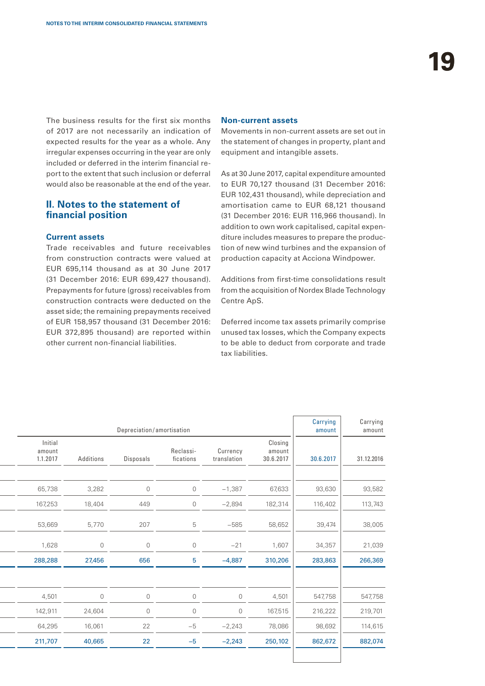The business results for the first six months of 2017 are not necessarily an indication of expected results for the year as a whole. Any irregular expenses occurring in the year are only included or deferred in the interim financial report to the extent that such inclusion or deferral would also be reasonable at the end of the year.

### **II. Notes to the statement of financial position**

### **Current assets**

Trade receivables and future receivables from construction contracts were valued at EUR 695,114 thousand as at 30 June 2017 (31 December 2016: EUR 699,427 thousand). Prepayments for future (gross) receivables from construction contracts were deducted on the asset side; the remaining prepayments received of EUR 158,957 thousand (31 December 2016: EUR 372,895 thousand) are reported within other current non-financial liabilities.

#### **Non-current assets**

Movements in non-current assets are set out in the statement of changes in property, plant and equipment and intangible assets.

As at 30 June 2017, capital expenditure amounted to EUR 70,127 thousand (31 December 2016: EUR 102,431 thousand), while depreciation and amortisation came to EUR 68,121 thousand (31 December 2016: EUR 116,966 thousand). In addition to own work capitalised, capital expenditure includes measures to prepare the production of new wind turbines and the expansion of production capacity at Acciona Windpower.

Additions from first-time consolidations result from the acquisition of Nordex Blade Technology Centre ApS.

Deferred income tax assets primarily comprise unused tax losses, which the Company expects to be able to deduct from corporate and trade tax liabilities.

| Carrying<br>amount | Carrying<br>amount |                                |                         |                        | Depreciation/amortisation |                |                               |
|--------------------|--------------------|--------------------------------|-------------------------|------------------------|---------------------------|----------------|-------------------------------|
| 31.12.2016         | 30.6.2017          | Closing<br>amount<br>30.6.2017 | Currency<br>translation | Reclassi-<br>fications | Disposals                 | Additions      | Initial<br>amount<br>1.1.2017 |
|                    |                    |                                |                         |                        |                           |                |                               |
| 93,582             | 93,630             | 67,633                         | $-1,387$                | $\circledcirc$         | $\circ$                   | 3,282          | 65,738                        |
| 113,743            | 116,402            | 182,314                        | $-2,894$                | $\circledcirc$         | 449                       | 18,404         | 167,253                       |
| 38,005             | 39,474             | 58,652                         | $-585$                  | 5                      | 207                       | 5,770          | 53,669                        |
| 21,039             | 34,357             | 1,607                          | $-21$                   | $\circledcirc$         | $\circledcirc$            | $\circledcirc$ | 1,628                         |
| 266,369            | 283,863            | 310,206                        | $-4,887$                | 5 <sup>5</sup>         | 656                       | 27,456         | 288,288                       |
|                    |                    |                                |                         |                        |                           |                |                               |
| 547,758            | 547,758            | 4,501                          | $\overline{0}$          | $\circ$                | $\circ$                   | $\circledcirc$ | 4,501                         |
| 219,701            | 216,222            | 167,515                        | $\overline{0}$          | $\circledcirc$         | $\circ$                   | 24,604         | 142,911                       |
| 114,615            | 98,692             | 78,086                         | $-2,243$                | $-5$                   | 22                        | 16,061         | 64,295                        |
| 882,074            | 862,672            | 250,102                        | $-2,243$                | $-5$                   | 22                        | 40,665         | 211,707                       |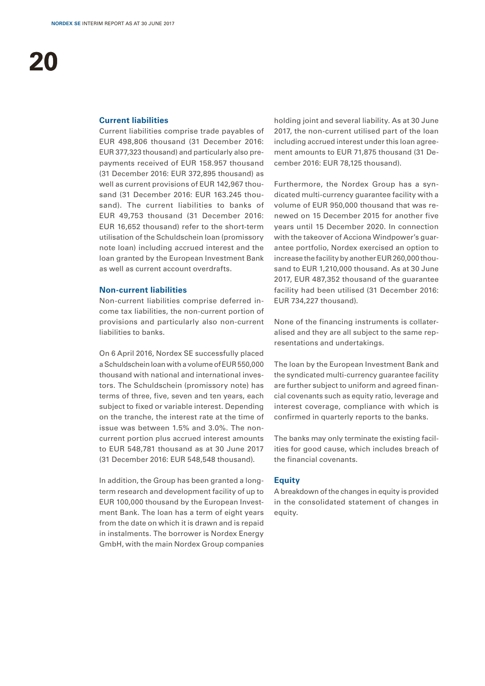### **Current liabilities**

Current liabilities comprise trade payables of EUR 498,806 thousand (31 December 2016: EUR 377,323 thousand) and particularly also prepayments received of EUR 158.957 thousand (31 December 2016: EUR 372,895 thousand) as well as current provisions of EUR 142,967 thousand (31 December 2016: EUR 163.245 thousand). The current liabilities to banks of EUR 49,753 thousand (31 December 2016: EUR 16,652 thousand) refer to the short-term utilisation of the Schuldschein loan (promissory note loan) including accrued interest and the loan granted by the European Investment Bank as well as current account overdrafts.

### **Non-current liabilities**

Non-current liabilities comprise deferred income tax liabilities, the non-current portion of provisions and particularly also non-current liabilities to banks.

On 6 April 2016, Nordex SE successfully placed a Schuldschein loan with a volume of EUR 550,000 thousand with national and international investors. The Schuldschein (promissory note) has terms of three, five, seven and ten years, each subject to fixed or variable interest. Depending on the tranche, the interest rate at the time of issue was between 1.5% and 3.0%. The noncurrent portion plus accrued interest amounts to EUR 548,781 thousand as at 30 June 2017 (31 December 2016: EUR 548,548 thousand).

In addition, the Group has been granted a longterm research and development facility of up to EUR 100,000 thousand by the European Investment Bank. The loan has a term of eight years from the date on which it is drawn and is repaid in instalments. The borrower is Nordex Energy GmbH, with the main Nordex Group companies

holding joint and several liability. As at 30 June 2017, the non-current utilised part of the loan including accrued interest under this loan agreement amounts to EUR 71,875 thousand (31 December 2016: EUR 78,125 thousand).

Furthermore, the Nordex Group has a syndicated multi-currency guarantee facility with a volume of EUR 950,000 thousand that was renewed on 15 December 2015 for another five years until 15 December 2020. In connection with the takeover of Acciona Windpower's quarantee portfolio, Nordex exercised an option to increase the facility by another EUR 260,000 thousand to EUR 1,210,000 thousand. As at 30 June 2017, EUR 487,352 thousand of the guarantee facility had been utilised (31 December 2016: EUR 734,227 thousand).

None of the financing instruments is collateralised and they are all subject to the same representations and undertakings.

The loan by the European Investment Bank and the syndicated multi-currency guarantee facility are further subject to uniform and agreed financial covenants such as equity ratio, leverage and interest coverage, compliance with which is confirmed in quarterly reports to the banks.

The banks may only terminate the existing facilities for good cause, which includes breach of the financial covenants.

### **Equity**

A breakdown of the changes in equity is provided in the consolidated statement of changes in equity.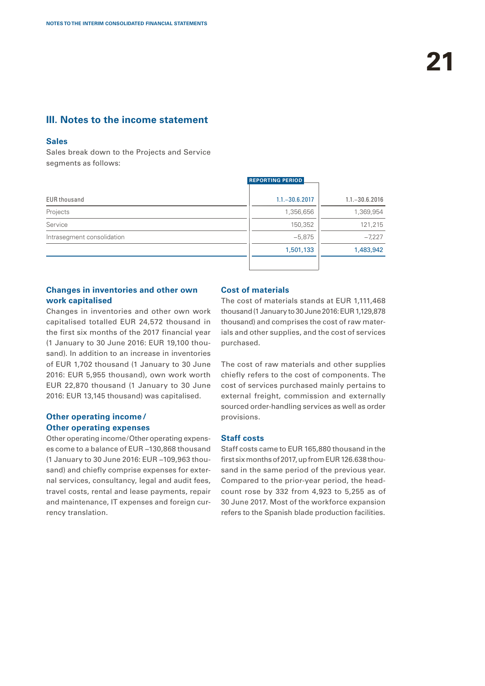### **III. Notes to the income statement**

### **Sales**

Sales break down to the Projects and Service segments as follows:

|                            | <b>REPORTING PERIOD</b> |                   |
|----------------------------|-------------------------|-------------------|
| <b>EUR thousand</b>        | $1.1 - 30.6.2017$       | $1.1 - 30.6.2016$ |
| Projects                   | 1,356,656               | 1,369,954         |
| Service                    | 150,352                 | 121,215           |
| Intrasegment consolidation | $-5,875$                | $-7,227$          |
|                            | 1,501,133               | 1,483,942         |
|                            |                         |                   |

### **Changes in inventories and other own work capitalised**

Changes in inventories and other own work capitalised totalled EUR 24,572 thousand in the first six months of the 2017 financial year (1 January to 30 June 2016: EUR 19,100 thousand). In addition to an increase in inventories of EUR 1,702 thousand (1 January to 30 June 2016: EUR 5,955 thousand), own work worth EUR 22,870 thousand (1 January to 30 June 2016: EUR 13,145 thousand) was capitalised.

### **Other operating income/ Other operating expenses**

Other operating income/Other operating expenses come to a balance of EUR −130,868 thousand (1 January to 30 June 2016: EUR −109,963 thousand) and chiefly comprise expenses for external services, consultancy, legal and audit fees, travel costs, rental and lease payments, repair and maintenance, IT expenses and foreign currency translation.

### **Cost of materials**

The cost of materials stands at EUR 1,111,468 thousand (1 January to 30 June 2016: EUR 1,129,878 thousand) and comprises the cost of raw materials and other supplies, and the cost of services purchased.

The cost of raw materials and other supplies chiefly refers to the cost of components. The cost of services purchased mainly pertains to external freight, commission and externally sourced order-handling services as well as order provisions.

### **Staff costs**

Staff costs came to EUR 165,880 thousand in the first six months of 2017, up from EUR 126.638 thousand in the same period of the previous year. Compared to the prior-year period, the headcount rose by 332 from 4,923 to 5,255 as of 30 June 2017. Most of the workforce expansion refers to the Spanish blade production facilities.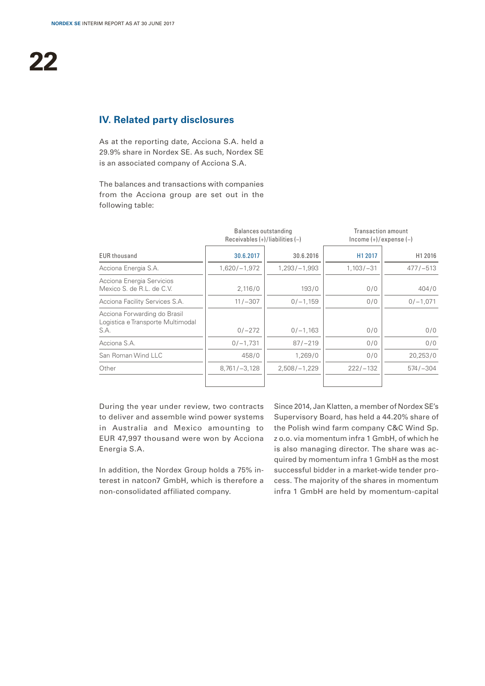### **IV. Related party disclosures**

As at the reporting date, Acciona S.A. held a 29.9% share in Nordex SE. As such, Nordex SE is an associated company of Acciona S.A.

The balances and transactions with companies from the Acciona group are set out in the following table:

|                                                                           | Balances outstanding<br>Receivables $(+)/$ liabilities $(-)$ |                  | Transaction amount<br>$lncome (+)/expense (-)$ |              |  |
|---------------------------------------------------------------------------|--------------------------------------------------------------|------------------|------------------------------------------------|--------------|--|
| <b>EUR thousand</b>                                                       | 30.6.2017                                                    | 30.6.2016        | H1 2017                                        | H1 2016      |  |
| Acciona Energia S.A.                                                      | $1,620/-1,972$                                               | $1,293/ - 1,993$ | $1,103/-31$                                    | $477/-513$   |  |
| Acciona Energia Servicios<br>Mexico S. de R.L. de C.V.                    | 2,116/0                                                      | 193/0            | 0/0                                            | 404/0        |  |
| Acciona Facility Services S.A.                                            | $11/-307$                                                    | $0/-1,159$       | 0/0                                            | $0/-1,071$   |  |
| Acciona Forwarding do Brasil<br>Logistica e Transporte Multimodal<br>S.A. | $0/-272$                                                     | $0/-1,163$       | 0/0                                            | 0/0          |  |
| Acciona S.A.                                                              | $0/-1,731$                                                   | $87/-219$        | 0/0                                            | 0/0          |  |
| San Roman Wind LLC                                                        | 458/0                                                        | 1,269/0          | 0/0                                            | 20,253/0     |  |
| Other                                                                     | $8,761/-3,128$                                               | $2,508/-1,229$   | $222/ - 132$                                   | $574 / -304$ |  |

During the year under review, two contracts to deliver and assemble wind power systems in Australia and Mexico amounting to EUR 47,997 thousand were won by Acciona Energia S.A.

In addition, the Nordex Group holds a 75% interest in natcon7 GmbH, which is therefore a non-consolidated affiliated company.

Since 2014, Jan Klatten, a member of Nordex SE's Supervisory Board, has held a 44.20% share of the Polish wind farm company C&C Wind Sp. z o.o. via momentum infra 1 GmbH, of which he is also managing director. The share was acquired by momentum infra 1 GmbH as the most successful bidder in a market-wide tender process. The majority of the shares in momentum infra 1 GmbH are held by momentum-capital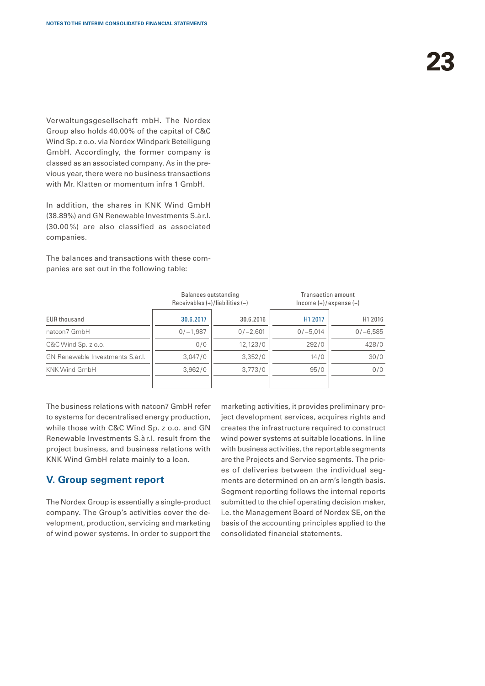Verwaltungsgesellschaft mbH. The Nordex Group also holds 40.00% of the capital of C&C Wind Sp. z o.o. via Nordex Windpark Beteiligung GmbH. Accordingly, the former company is classed as an associated company. As in the previous year, there were no business transactions with Mr. Klatten or momentum infra 1 GmbH.

In addition, the shares in KNK Wind GmbH (38.89%) and GN Renewable Investments S.àr.l. (30.00 %) are also classified as associated companies.

The balances and transactions with these companies are set out in the following table:

|                                  | Balances outstanding<br>Receivables $(+)/$ liabilities $(-)$ |            | Transaction amount<br>$lncome (+)/expense (-)$ |            |  |
|----------------------------------|--------------------------------------------------------------|------------|------------------------------------------------|------------|--|
| <b>EUR thousand</b>              | 30.6.2017                                                    | 30.6.2016  | H1 2017                                        | H1 2016    |  |
| natcon7 GmbH                     | $0/-1,987$                                                   | $0/-2,601$ | $0/-5.014$                                     | $0/-6,585$ |  |
| C&C Wind Sp. z o.o.              | 0/0                                                          | 12.123/0   | 292/0                                          | 428/0      |  |
| GN Renewable Investments S.àr.I. | 3,047/0                                                      | 3,352/0    | 14/0                                           | 30/0       |  |
| <b>KNK Wind GmbH</b>             | 3,962/0                                                      | 3,773/0    | 95/0                                           | 0/0        |  |

The business relations with natcon7 GmbH refer to systems for decentralised energy production, while those with C&C Wind Sp. z o.o. and GN Renewable Investments S.àr.l. result from the project business, and business relations with KNK Wind GmbH relate mainly to a loan.

### **V. Group segment report**

The Nordex Group is essentially a single-product company. The Group's activities cover the development, production, servicing and marketing of wind power systems. In order to support the marketing activities, it provides preliminary project development services, acquires rights and creates the infrastructure required to construct wind power systems at suitable locations. In line with business activities, the reportable segments are the Projects and Service segments. The prices of deliveries between the individual segments are determined on an arm's length basis. Segment reporting follows the internal reports submitted to the chief operating decision maker, i.e. the Management Board of Nordex SE, on the basis of the accounting principles applied to the consolidated financial statements.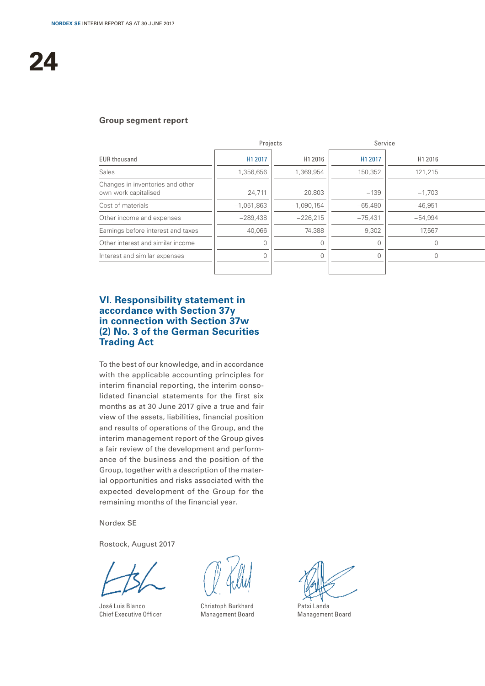### **Group segment report**

| Projects                                                 |              | Service      |           |           |
|----------------------------------------------------------|--------------|--------------|-----------|-----------|
| <b>EUR thousand</b>                                      | H1 2017      | H1 2016      | H1 2017   | H1 2016   |
| Sales                                                    | 1,356,656    | 1,369,954    | 150,352   | 121,215   |
| Changes in inventories and other<br>own work capitalised | 24,711       | 20,803       | $-139$    | $-1,703$  |
| Cost of materials                                        | $-1,051,863$ | $-1,090,154$ | $-65,480$ | $-46,951$ |
| Other income and expenses                                | $-289,438$   | $-226,215$   | $-75,431$ | $-54,994$ |
| Earnings before interest and taxes                       | 40,066       | 74,388       | 9,302     | 17,567    |
| Other interest and similar income                        |              |              |           |           |
| Interest and similar expenses                            |              |              |           |           |
|                                                          |              |              |           |           |

### **VI. Responsibility statement in accordance with Section 37y in connection with Section 37w (2) No. 3 of the German Securities Trading Act**

To the best of our knowledge, and in accordance with the applicable accounting principles for interim financial reporting, the interim consolidated financial statements for the first six months as at 30 June 2017 give a true and fair view of the assets, liabilities, financial position and results of operations of the Group, and the interim management report of the Group gives a fair review of the development and performance of the business and the position of the Group, together with a description of the material opportunities and risks associated with the expected development of the Group for the remaining months of the financial year.

Nordex SE

Rostock, August 2017

José Luis Blanco Chief Executive Officer

Christoph Burkhard Management Board

Patxi Landa Management Board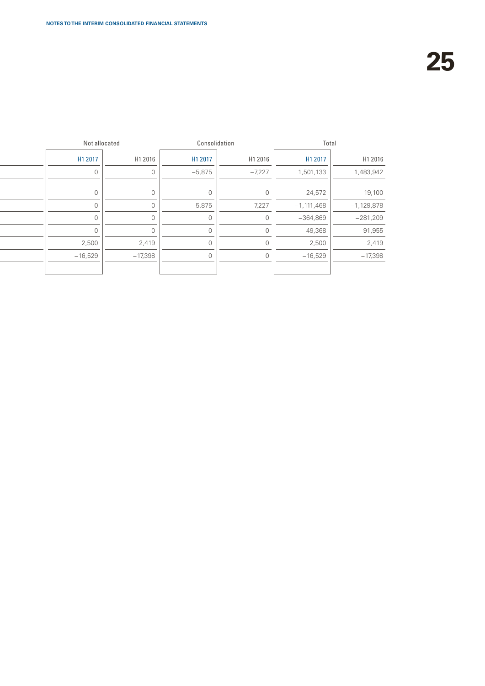| Consolidation<br>Not allocated           | Total                  |
|------------------------------------------|------------------------|
| H1 2017<br>H1 2017<br>H1 2016<br>H1 2016 | H1 2016<br>H1 2017     |
| $-5,875$<br>$-7,227$<br>1,501,133        | 1,483,942              |
|                                          |                        |
|                                          | 19,100<br>24,572       |
| 5,875<br>7,227<br>$-1,111,468$           | $-1,129,878$           |
| $-364,869$                               | $-281,209$             |
|                                          | 91,955<br>49,368       |
| 2,500<br>2,419                           | 2,500<br>2,419         |
| $-16,529$<br>$-17,398$                   | $-16,529$<br>$-17,398$ |
|                                          |                        |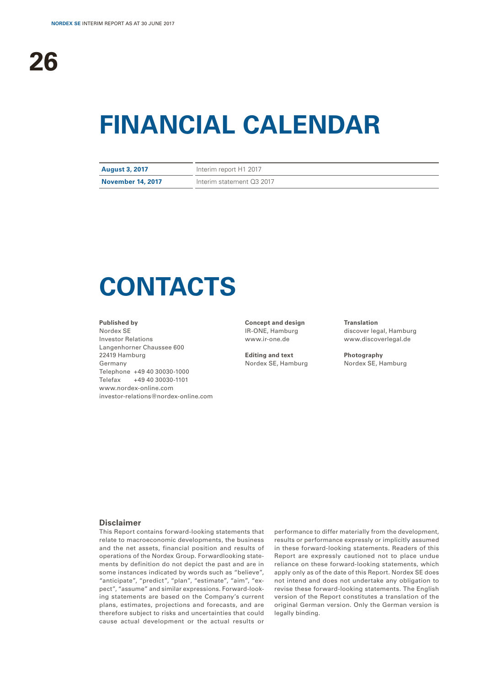# **FINANCIAL CALENDAR**

| <b>August 3, 2017</b>    | Interim report H1 2017    |
|--------------------------|---------------------------|
| <b>November 14, 2017</b> | Interim statement Q3 2017 |

# **CONTACTS**

#### **Published by**

Nordex SE Investor Relations Langenhorner Chaussee 600 22419 Hamburg Germany Telephone +49 40 30030-1000 Telefax +49 40 30030-1101 www.nordex-online.com investor-relations@nordex-online.com

**Concept and design** IR-ONE, Hamburg www.ir-one.de

**Editing and text** Nordex SE, Hamburg **Translation** discover legal, Hamburg www.discoverlegal.de

**Photography** Nordex SE, Hamburg

### **Disclaimer**

This Report contains forward-looking statements that relate to macroeconomic developments, the business and the net assets, financial position and results of operations of the Nordex Group. Forwardlooking statements by definition do not depict the past and are in some instances indicated by words such as "believe", "anticipate", "predict", "plan", "estimate", "aim", "expect", "assume" and similar expressions. Forward-looking statements are based on the Company's current plans, estimates, projections and forecasts, and are therefore subject to risks and uncertainties that could cause actual development or the actual results or

performance to differ materially from the development, results or performance expressly or implicitly assumed in these forward-looking statements. Readers of this Report are expressly cautioned not to place undue reliance on these forward-looking statements, which apply only as of the date of this Report. Nordex SE does not intend and does not undertake any obligation to revise these forward-looking statements. The English version of the Report constitutes a translation of the original German version. Only the German version is legally binding.